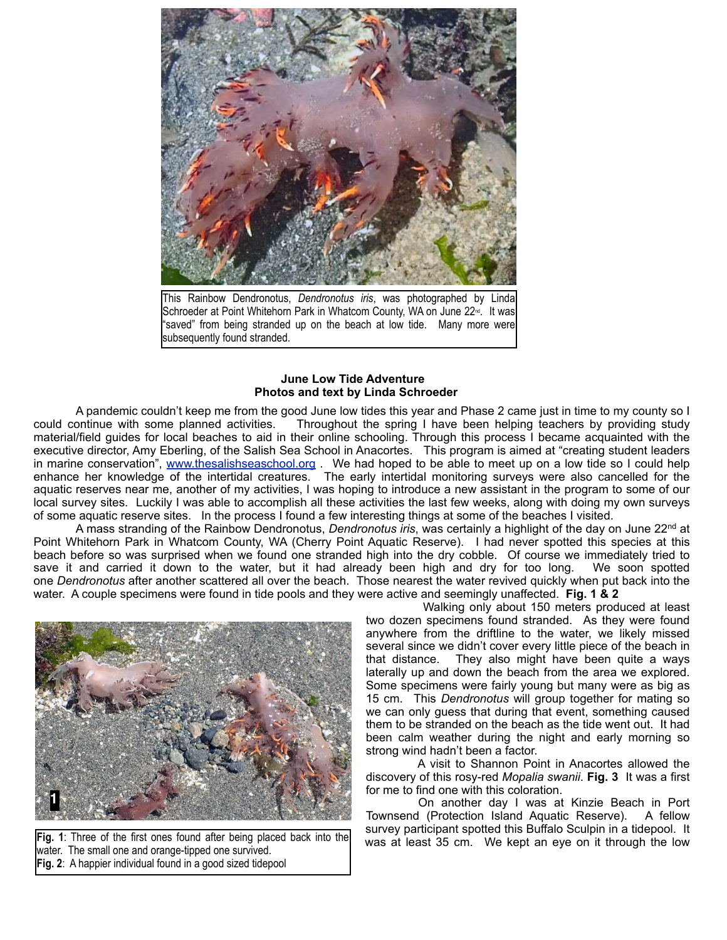

This Rainbow Dendronotus, *Dendronotus iris*, was photographed by Linda Schroeder at Point Whitehorn Park in Whatcom County, WA on June 22<sup>nd</sup>. It was "saved" from being stranded up on the beach at low tide. Many more were subsequently found stranded.

## **June Low Tide Adventure Photos and text by Linda Schroeder**

 A pandemic couldn't keep me from the good June low tides this year and Phase 2 came just in time to my county so I could continue with some planned activities. Throughout the spring I have been helping teachers by providing study material/field guides for local beaches to aid in their online schooling. Through this process I became acquainted with the executive director, Amy Eberling, of the Salish Sea School in Anacortes. This program is aimed at "creating student leaders in marine conservation", [www.thesalishseaschool.org](http://www.thesalishseaschool.org/) . We had hoped to be able to meet up on a low tide so I could help enhance her knowledge of the intertidal creatures. The early intertidal monitoring surveys were also cancelled for the aquatic reserves near me, another of my activities, I was hoping to introduce a new assistant in the program to some of our local survey sites. Luckily I was able to accomplish all these activities the last few weeks, along with doing my own surveys of some aquatic reserve sites. In the process I found a few interesting things at some of the beaches I visited.

 A mass stranding of the Rainbow Dendronotus, *Dendronotus iris*, was certainly a highlight of the day on June 22nd at Point Whitehorn Park in Whatcom County, WA (Cherry Point Aquatic Reserve). I had never spotted this species at this beach before so was surprised when we found one stranded high into the dry cobble. Of course we immediately tried to save it and carried it down to the water, but it had already been high and dry for too long. We soon spotted one *Dendronotus* after another scattered all over the beach. Those nearest the water revived quickly when put back into the water. A couple specimens were found in tide pools and they were active and seemingly unaffected. **Fig. 1 & 2**



water. The small one and orange-tipped one survived. **Fig. 2**: A happier individual found in a good sized tidepool

 Walking only about 150 meters produced at least two dozen specimens found stranded. As they were found anywhere from the driftline to the water, we likely missed several since we didn't cover every little piece of the beach in<br>that distance. They also might have been quite a ways They also might have been quite a ways laterally up and down the beach from the area we explored. Some specimens were fairly young but many were as big as 15 cm. This *Dendronotus* will group together for mating so we can only guess that during that event, something caused them to be stranded on the beach as the tide went out. It had been calm weather during the night and early morning so strong wind hadn't been a factor.

 A visit to Shannon Point in Anacortes allowed the discovery of this rosy-red *Mopalia swanii*. **Fig. 3** It was a first for me to find one with this coloration.

 On another day I was at Kinzie Beach in Port Townsend (Protection Island Aquatic Reserve). A fellow survey participant spotted this Buffalo Sculpin in a tidepool. It Fig. 1: Three of the first ones found after being placed back into the was at least 35 cm. We kept an eye on it through the low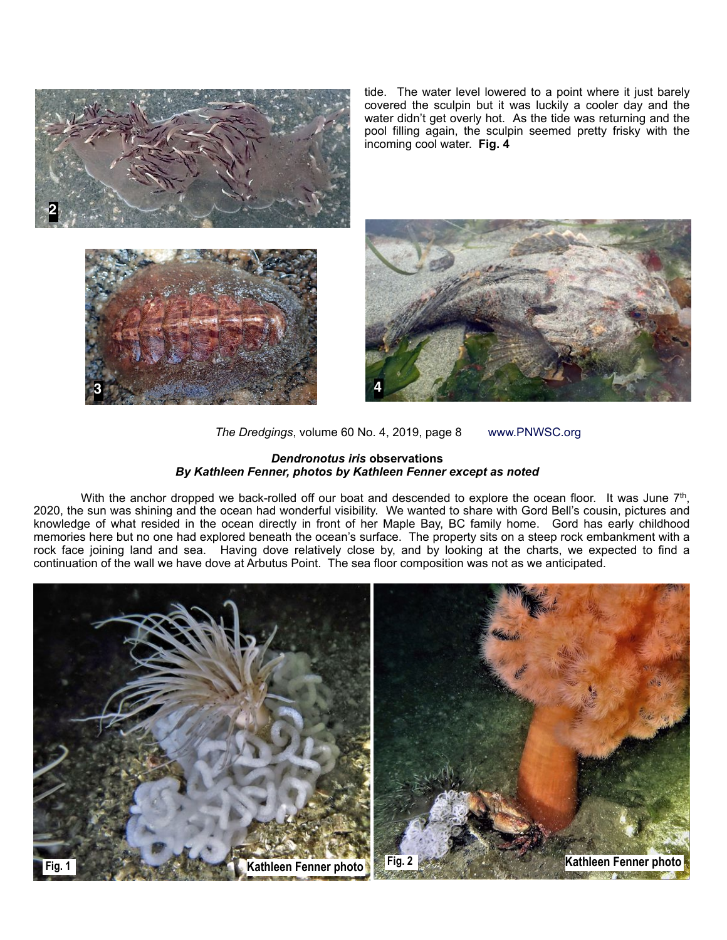

tide. The water level lowered to a point where it just barely covered the sculpin but it was luckily a cooler day and the water didn't get overly hot. As the tide was returning and the pool filling again, the sculpin seemed pretty frisky with the incoming cool water. **Fig. 4**



*The Dredgings*, volume 60 No. 4, 2019, page 8 www.PNWSC.org

## *Dendronotus iris* **observations** *By Kathleen Fenner, photos by Kathleen Fenner except as noted*

With the anchor dropped we back-rolled off our boat and descended to explore the ocean floor. It was June 7<sup>th</sup>, 2020, the sun was shining and the ocean had wonderful visibility. We wanted to share with Gord Bell's cousin, pictures and knowledge of what resided in the ocean directly in front of her Maple Bay, BC family home. Gord has early childhood memories here but no one had explored beneath the ocean's surface. The property sits on a steep rock embankment with a rock face joining land and sea. Having dove relatively close by, and by looking at the charts, we expected to find a continuation of the wall we have dove at Arbutus Point. The sea floor composition was not as we anticipated.

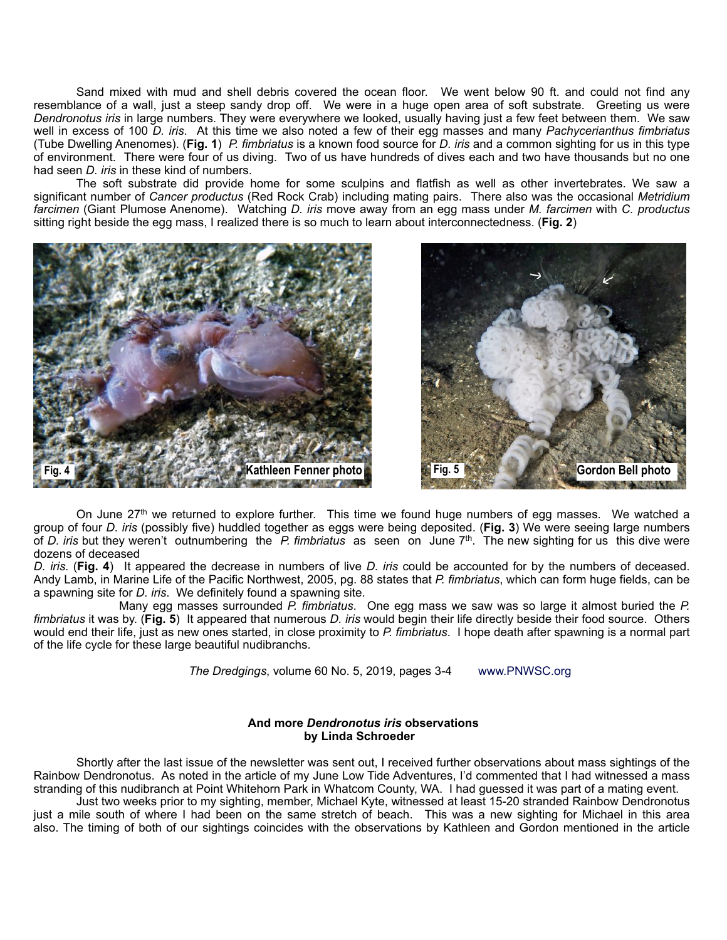Sand mixed with mud and shell debris covered the ocean floor. We went below 90 ft. and could not find any resemblance of a wall, just a steep sandy drop off. We were in a huge open area of soft substrate. Greeting us were *Dendronotus iris* in large numbers. They were everywhere we looked, usually having just a few feet between them. We saw well in excess of 100 *D. iris*. At this time we also noted a few of their egg masses and many *Pachycerianthus fimbriatus* (Tube Dwelling Anenomes). (**Fig. 1**) *P. fimbriatus* is a known food source for *D. iris* and a common sighting for us in this type of environment. There were four of us diving. Two of us have hundreds of dives each and two have thousands but no one had seen *D. iris* in these kind of numbers.

 The soft substrate did provide home for some sculpins and flatfish as well as other invertebrates. We saw a significant number of *Cancer productus* (Red Rock Crab) including mating pairs. There also was the occasional *Metridium farcimen* (Giant Plumose Anenome). Watching *D. iris* move away from an egg mass under *M. farcimen* with *C. productus* sitting right beside the egg mass, I realized there is so much to learn about interconnectedness. (**Fig. 2**)





On June 27<sup>th</sup> we returned to explore further. This time we found huge numbers of egg masses. We watched a group of four *D. iris* (possibly five) huddled together as eggs were being deposited. (**Fig. 3**) We were seeing large numbers of *D. iris* but they weren't outnumbering the *P. fimbriatus* as seen on June 7th. The new sighting for us this dive were dozens of deceased

*D. iris*. (**Fig. 4**) It appeared the decrease in numbers of live *D. iris* could be accounted for by the numbers of deceased. Andy Lamb, in Marine Life of the Pacific Northwest, 2005, pg. 88 states that *P. fimbriatus*, which can form huge fields, can be a spawning site for *D. iris*. We definitely found a spawning site.

 Many egg masses surrounded *P. fimbriatus*. One egg mass we saw was so large it almost buried the *P. fimbriatus* it was by. (**Fig. 5**) It appeared that numerous *D. iris* would begin their life directly beside their food source. Others would end their life, just as new ones started, in close proximity to *P. fimbriatus*. I hope death after spawning is a normal part of the life cycle for these large beautiful nudibranchs.

*The Dredgings*, volume 60 No. 5, 2019, pages 3-4 www.PNWSC.org

## **And more** *Dendronotus iris* **observations by Linda Schroeder**

 Shortly after the last issue of the newsletter was sent out, I received further observations about mass sightings of the Rainbow Dendronotus. As noted in the article of my June Low Tide Adventures, I'd commented that I had witnessed a mass stranding of this nudibranch at Point Whitehorn Park in Whatcom County, WA. I had guessed it was part of a mating event.

 Just two weeks prior to my sighting, member, Michael Kyte, witnessed at least 15-20 stranded Rainbow Dendronotus just a mile south of where I had been on the same stretch of beach. This was a new sighting for Michael in this area also. The timing of both of our sightings coincides with the observations by Kathleen and Gordon mentioned in the article